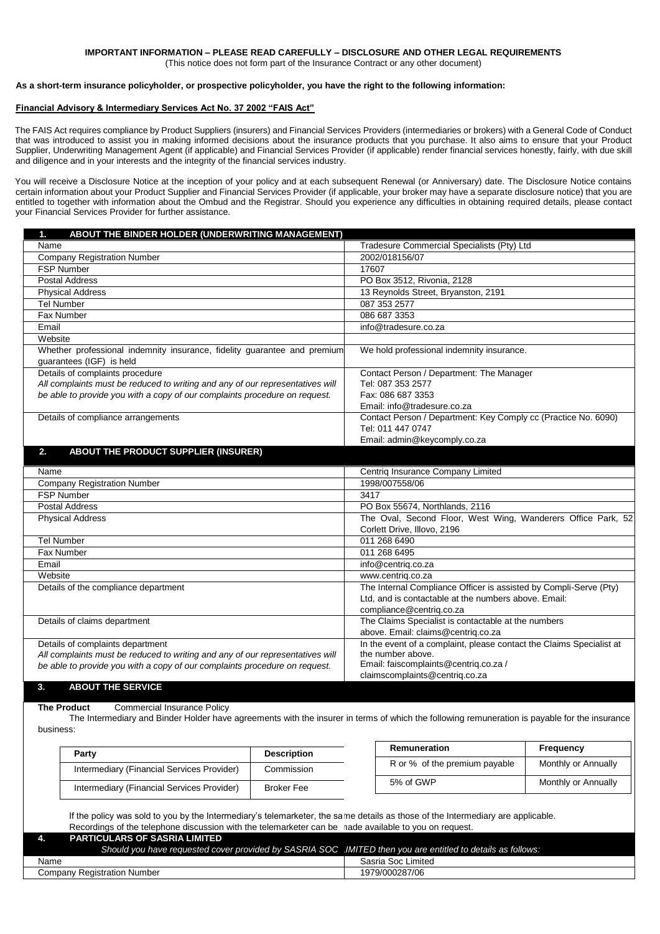(This notice does not form part of the Insurance Contract or any other document)

#### **As a short-term insurance policyholder, or prospective policyholder, you have the right to the following information:**

#### **Financial Advisory & Intermediary Services Act No. 37 2002 "FAIS Act"**

The FAIS Act requires compliance by Product Suppliers (insurers) and Financial Services Providers (intermediaries or brokers) with a General Code of Conduct that was introduced to assist you in making informed decisions about the insurance products that you purchase. It also aims to ensure that your Product Supplier, Underwriting Management Agent (if applicable) and Financial Services Provider (if applicable) render financial services honestly, fairly, with due skill and diligence and in your interests and the integrity of the financial services industry.

You will receive a Disclosure Notice at the inception of your policy and at each subsequent Renewal (or Anniversary) date. The Disclosure Notice contains certain information about your Product Supplier and Financial Services Provider (if applicable, your broker may have a separate disclosure notice) that you are entitled to together with information about the Ombud and the Registrar. Should you experience any difficulties in obtaining required details, please contact your Financial Services Provider for further assistance.

| ABOUT THE BINDER HOLDER (UNDERWRITING MANAGEMENT)<br>1.                                              |                                                                      |  |
|------------------------------------------------------------------------------------------------------|----------------------------------------------------------------------|--|
| Name                                                                                                 | Tradesure Commercial Specialists (Pty) Ltd                           |  |
| <b>Company Registration Number</b>                                                                   | 2002/018156/07                                                       |  |
| <b>FSP Number</b>                                                                                    | 17607                                                                |  |
| <b>Postal Address</b>                                                                                | PO Box 3512, Rivonia, 2128                                           |  |
| <b>Physical Address</b>                                                                              | 13 Reynolds Street, Bryanston, 2191                                  |  |
| <b>Tel Number</b>                                                                                    | 087 353 2577                                                         |  |
| Fax Number                                                                                           | 086 687 3353                                                         |  |
| Email                                                                                                | info@tradesure.co.za                                                 |  |
| Website                                                                                              |                                                                      |  |
| Whether professional indemnity insurance, fidelity guarantee and premium<br>guarantees (IGF) is held | We hold professional indemnity insurance.                            |  |
| Details of complaints procedure                                                                      | Contact Person / Department: The Manager                             |  |
| All complaints must be reduced to writing and any of our representatives will                        | Tel: 087 353 2577                                                    |  |
| be able to provide you with a copy of our complaints procedure on request.                           | Fax: 086 687 3353                                                    |  |
|                                                                                                      | Email: info@tradesure.co.za                                          |  |
| Details of compliance arrangements                                                                   | Contact Person / Department: Key Comply cc (Practice No. 6090)       |  |
|                                                                                                      | Tel: 011 447 0747                                                    |  |
|                                                                                                      | Email: admin@keycomply.co.za                                         |  |
| ABOUT THE PRODUCT SUPPLIER (INSURER)<br>2.                                                           |                                                                      |  |
| Name                                                                                                 | Centriq Insurance Company Limited                                    |  |
| <b>Company Registration Number</b>                                                                   | 1998/007558/06                                                       |  |
| <b>FSP Number</b>                                                                                    | 3417                                                                 |  |
| <b>Postal Address</b>                                                                                | PO Box 55674, Northlands, 2116                                       |  |
| <b>Physical Address</b>                                                                              | The Oval, Second Floor, West Wing, Wanderers Office Park, 52         |  |
|                                                                                                      | Corlett Drive, Illovo, 2196                                          |  |
| <b>Tel Number</b>                                                                                    | 011 268 6490                                                         |  |
| Fax Number                                                                                           | 011 268 6495                                                         |  |
| Email                                                                                                | info@centriq.co.za                                                   |  |
| Website                                                                                              | www.centriq.co.za                                                    |  |
| Details of the compliance department                                                                 | The Internal Compliance Officer is assisted by Compli-Serve (Pty)    |  |
|                                                                                                      | Ltd. and is contactable at the numbers above. Email:                 |  |
|                                                                                                      | compliance@centriq.co.za                                             |  |
| Details of claims department                                                                         | The Claims Specialist is contactable at the numbers                  |  |
|                                                                                                      | above. Email: claims@centriq.co.za                                   |  |
| Details of complaints department                                                                     | In the event of a complaint, please contact the Claims Specialist at |  |
| All complaints must be reduced to writing and any of our representatives will                        | the number above.                                                    |  |
| be able to provide you with a copy of our complaints procedure on request.                           | Email: faiscomplaints@centriq.co.za /                                |  |
| <b>ABOUT THE SERVICE</b>                                                                             | claimscomplaints@centriq.co.za                                       |  |
| 3.                                                                                                   |                                                                      |  |

**The Product** Commercial Insurance Policy

The Intermediary and Binder Holder have agreements with the insurer in terms of which the following remuneration is payable for the insurance business:

| Party                                      | <b>Description</b> | Remuneration                  | Frequency           |
|--------------------------------------------|--------------------|-------------------------------|---------------------|
| Intermediary (Financial Services Provider) | Commission         | R or % of the premium payable | Monthly or Annually |
| Intermediary (Financial Services Provider) | <b>Broker Fee</b>  | 5% of GWP                     | Monthly or Annually |

If the policy was sold to you by the Intermediary's telemarketer, the same details as those of the Intermediary are applicable. Recordings of the telephone discussion with the telemarketer can be made available to you on request. **4. PARTICULARS OF SASRIA LIMITED** 

| LANTICOLANO OL OAGNIA LIMITLD<br>Should you have requested cover provided by SASRIA SOC .IMITED then you are entitled to details as follows: |                    |
|----------------------------------------------------------------------------------------------------------------------------------------------|--------------------|
| Name                                                                                                                                         | Sasria Soc Limited |
| Company Registration Number                                                                                                                  | 1979/000287/06     |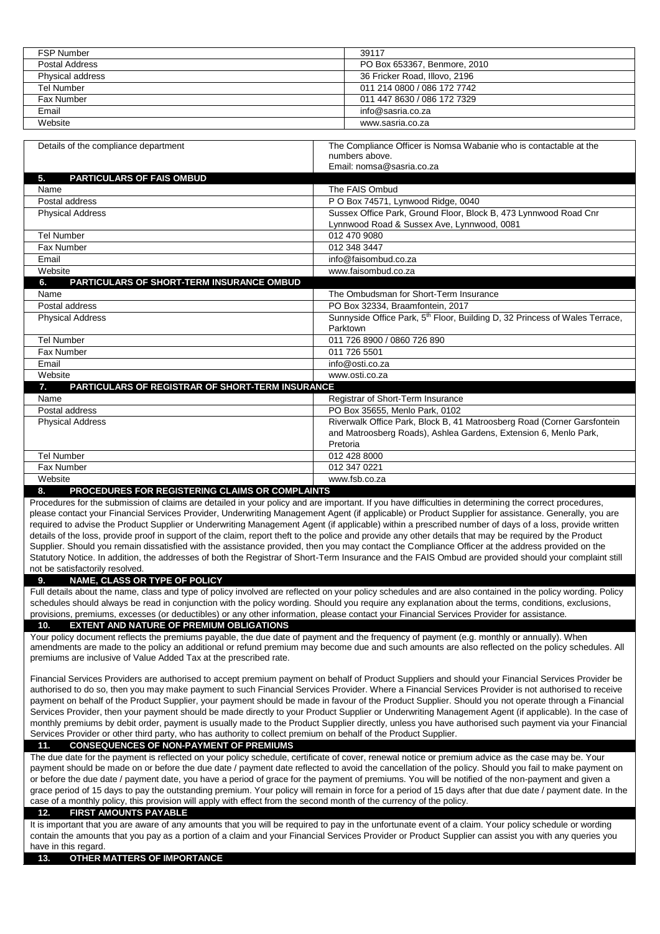| <b>FSP Number</b>                                            | 39117                                                                                                                                                                                                                                                                                            |
|--------------------------------------------------------------|--------------------------------------------------------------------------------------------------------------------------------------------------------------------------------------------------------------------------------------------------------------------------------------------------|
| <b>Postal Address</b>                                        | PO Box 653367, Benmore, 2010                                                                                                                                                                                                                                                                     |
| Physical address<br><b>Tel Number</b>                        | 36 Fricker Road, Illovo, 2196<br>011 214 0800 / 086 172 7742                                                                                                                                                                                                                                     |
|                                                              | 011 447 8630 / 086 172 7329                                                                                                                                                                                                                                                                      |
| Fax Number                                                   |                                                                                                                                                                                                                                                                                                  |
| Email                                                        | info@sasria.co.za                                                                                                                                                                                                                                                                                |
| Website                                                      | www.sasria.co.za                                                                                                                                                                                                                                                                                 |
| Details of the compliance department                         | The Compliance Officer is Nomsa Wabanie who is contactable at the                                                                                                                                                                                                                                |
|                                                              | numbers above.                                                                                                                                                                                                                                                                                   |
|                                                              | Email: nomsa@sasria.co.za                                                                                                                                                                                                                                                                        |
| PARTICULARS OF FAIS OMBUD<br>5.                              |                                                                                                                                                                                                                                                                                                  |
| Name                                                         | The FAIS Ombud                                                                                                                                                                                                                                                                                   |
| Postal address                                               | P O Box 74571, Lynwood Ridge, 0040                                                                                                                                                                                                                                                               |
| <b>Physical Address</b>                                      | Sussex Office Park, Ground Floor, Block B, 473 Lynnwood Road Cnr                                                                                                                                                                                                                                 |
|                                                              | Lynnwood Road & Sussex Ave, Lynnwood, 0081                                                                                                                                                                                                                                                       |
| <b>Tel Number</b>                                            | 012 470 9080                                                                                                                                                                                                                                                                                     |
| Fax Number                                                   | 012 348 3447                                                                                                                                                                                                                                                                                     |
| Email                                                        | info@faisombud.co.za                                                                                                                                                                                                                                                                             |
| Website                                                      | www.faisombud.co.za                                                                                                                                                                                                                                                                              |
| 6.<br><b>PARTICULARS OF SHORT-TERM INSURANCE OMBUD</b>       |                                                                                                                                                                                                                                                                                                  |
| Name                                                         | The Ombudsman for Short-Term Insurance                                                                                                                                                                                                                                                           |
| Postal address                                               | PO Box 32334, Braamfontein, 2017                                                                                                                                                                                                                                                                 |
| <b>Physical Address</b>                                      | Sunnyside Office Park, 5 <sup>th</sup> Floor, Building D, 32 Princess of Wales Terrace,                                                                                                                                                                                                          |
|                                                              | Parktown                                                                                                                                                                                                                                                                                         |
| <b>Tel Number</b>                                            | 011 726 8900 / 0860 726 890                                                                                                                                                                                                                                                                      |
| Fax Number                                                   | 011 726 5501                                                                                                                                                                                                                                                                                     |
| Email                                                        | info@osti.co.za                                                                                                                                                                                                                                                                                  |
| Website                                                      | www.osti.co.za                                                                                                                                                                                                                                                                                   |
| PARTICULARS OF REGISTRAR OF SHORT-TERM INSURANCE<br>7.       |                                                                                                                                                                                                                                                                                                  |
| Name                                                         | Registrar of Short-Term Insurance                                                                                                                                                                                                                                                                |
| Postal address                                               | PO Box 35655, Menlo Park, 0102                                                                                                                                                                                                                                                                   |
| <b>Physical Address</b>                                      | Riverwalk Office Park, Block B, 41 Matroosberg Road (Corner Garsfontein                                                                                                                                                                                                                          |
|                                                              | and Matroosberg Roads), Ashlea Gardens, Extension 6, Menlo Park,                                                                                                                                                                                                                                 |
|                                                              | Pretoria                                                                                                                                                                                                                                                                                         |
| <b>Tel Number</b>                                            | 012 428 8000                                                                                                                                                                                                                                                                                     |
| Fax Number                                                   | 012 347 0221                                                                                                                                                                                                                                                                                     |
| Website                                                      | www.fsb.co.za                                                                                                                                                                                                                                                                                    |
| 8.<br><b>PROCEDURES FOR REGISTERING CLAIMS OR COMPLAINTS</b> |                                                                                                                                                                                                                                                                                                  |
|                                                              | Procedures for the submission of claims are detailed in your policy and are important. If you have difficulties in determining the correct procedures,                                                                                                                                           |
|                                                              | please contact your Financial Services Provider, Underwriting Management Agent (if applicable) or Product Supplier for assistance. Generally, you are                                                                                                                                            |
|                                                              | required to advise the Product Supplier or Underwriting Management Agent (if applicable) within a prescribed number of days of a loss, provide written                                                                                                                                           |
|                                                              | details of the loss, provide proof in support of the claim, report theft to the police and provide any other details that may be required by the Product                                                                                                                                         |
|                                                              | Supplier. Should you remain dissatisfied with the assistance provided, then you may contact the Compliance Officer at the address provided on the                                                                                                                                                |
|                                                              | Statutory Notice. In addition, the addresses of both the Registrar of Short-Term Insurance and the FAIS Ombud are provided should your complaint still                                                                                                                                           |
| not be satisfactorily resolved.                              |                                                                                                                                                                                                                                                                                                  |
| NAME, CLASS OR TYPE OF POLICY<br>9.                          |                                                                                                                                                                                                                                                                                                  |
|                                                              | Full details about the name, class and type of policy involved are reflected on your policy schedules and are also contained in the policy wording. Policy                                                                                                                                       |
|                                                              | schedules should always be read in conjunction with the policy wording. Should you require any explanation about the terms, conditions, exclusions,<br>provisions, premiums, excesses (or deductibles) or any other information, please contact your Financial Services Provider for assistance. |

# **10. EXTENT AND NATURE OF PREMIUM OBLIGATIONS**

Your policy document reflects the premiums payable, the due date of payment and the frequency of payment (e.g. monthly or annually). When amendments are made to the policy an additional or refund premium may become due and such amounts are also reflected on the policy schedules. All premiums are inclusive of Value Added Tax at the prescribed rate.

Financial Services Providers are authorised to accept premium payment on behalf of Product Suppliers and should your Financial Services Provider be authorised to do so, then you may make payment to such Financial Services Provider. Where a Financial Services Provider is not authorised to receive payment on behalf of the Product Supplier, your payment should be made in favour of the Product Supplier. Should you not operate through a Financial Services Provider, then your payment should be made directly to your Product Supplier or Underwriting Management Agent (if applicable). In the case of monthly premiums by debit order, payment is usually made to the Product Supplier directly, unless you have authorised such payment via your Financial Services Provider or other third party, who has authority to collect premium on behalf of the Product Supplier.

# **11. CONSEQUENCES OF NON-PAYMENT OF PREMIUMS**

The due date for the payment is reflected on your policy schedule, certificate of cover, renewal notice or premium advice as the case may be. Your payment should be made on or before the due date / payment date reflected to avoid the cancellation of the policy. Should you fail to make payment on or before the due date / payment date, you have a period of grace for the payment of premiums. You will be notified of the non-payment and given a grace period of 15 days to pay the outstanding premium. Your policy will remain in force for a period of 15 days after that due date / payment date. In the case of a monthly policy, this provision will apply with effect from the second month of the currency of the policy.

### **12. FIRST AMOUNTS PAYABLE**

It is important that you are aware of any amounts that you will be required to pay in the unfortunate event of a claim. Your policy schedule or wording contain the amounts that you pay as a portion of a claim and your Financial Services Provider or Product Supplier can assist you with any queries you have in this regard.

### **13. OTHER MATTERS OF IMPORTANCE**